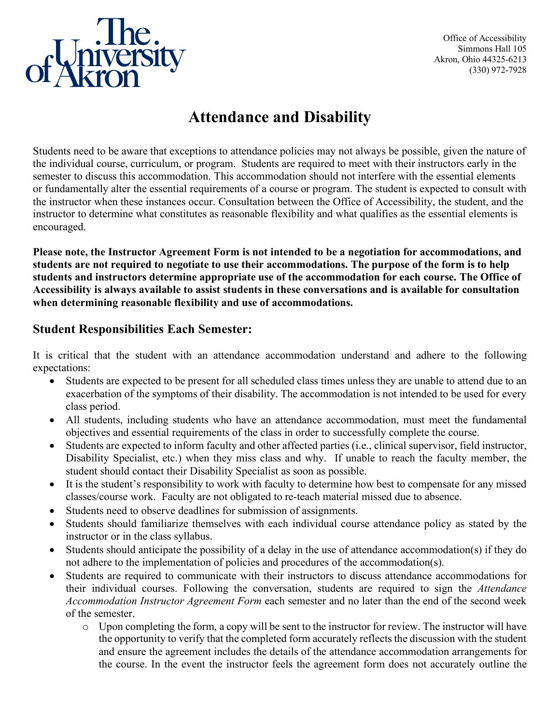

Office of Accessibility Simmons Hall 105 Akron, Ohio 44325-6213 (330) 972-7928

## **Attendance and Disability**

Students need to be aware that exceptions to attendance policies may not always be possible, given the nature of the individual course, curriculum, or program. Students are required to meet with their instructors early in the semester to discuss this accommodation. This accommodation should not interfere with the essential elements or fundamentally alter the essential requirements of a course or program. The student is expected to consult with the instructor when these instances occur. Consultation between the Office of Accessibility, the student, and the instructor to determine what constitutes as reasonable flexibility and what qualifies as the essential elements is encouraged.

**Please note, the Instructor Agreement Form is not intended to be a negotiation for accommodations, and students are not required to negotiate to use their accommodations. The purpose of the form is to help students and instructors determine appropriate use of the accommodation for each course. The Office of Accessibility is always available to assist students in these conversations and is available for consultation when determining reasonable flexibility and use of accommodations.**

## **Student Responsibilities Each Semester:**

It is critical that the student with an attendance accommodation understand and adhere to the following expectations:

- Students are expected to be present for all scheduled class times unless they are unable to attend due to an exacerbation of the symptoms of their disability. The accommodation is not intended to be used for every class period.
- All students, including students who have an attendance accommodation, must meet the fundamental objectives and essential requirements of the class in order to successfully complete the course.
- Students are expected to inform faculty and other affected parties (i.e., clinical supervisor, field instructor, Disability Specialist, etc.) when they miss class and why. If unable to reach the faculty member, the student should contact their Disability Specialist as soon as possible.
- It is the student's responsibility to work with faculty to determine how best to compensate for any missed classes/course work. Faculty are not obligated to re-teach material missed due to absence.
- Students need to observe deadlines for submission of assignments.
- Students should familiarize themselves with each individual course attendance policy as stated by the instructor or in the class syllabus.
- Students should anticipate the possibility of a delay in the use of attendance accommodation(s) if they do not adhere to the implementation of policies and procedures of the accommodation(s).
- Students are required to communicate with their instructors to discuss attendance accommodations for their individual courses. Following the conversation, students are required to sign the *Attendance Accommodation Instructor Agreement Form* each semester and no later than the end of the second week of the semester.
	- o Upon completing the form, a copy will be sent to the instructor for review. The instructor will have the opportunity to verify that the completed form accurately reflects the discussion with the student and ensure the agreement includes the details of the attendance accommodation arrangements for the course. In the event the instructor feels the agreement form does not accurately outline the